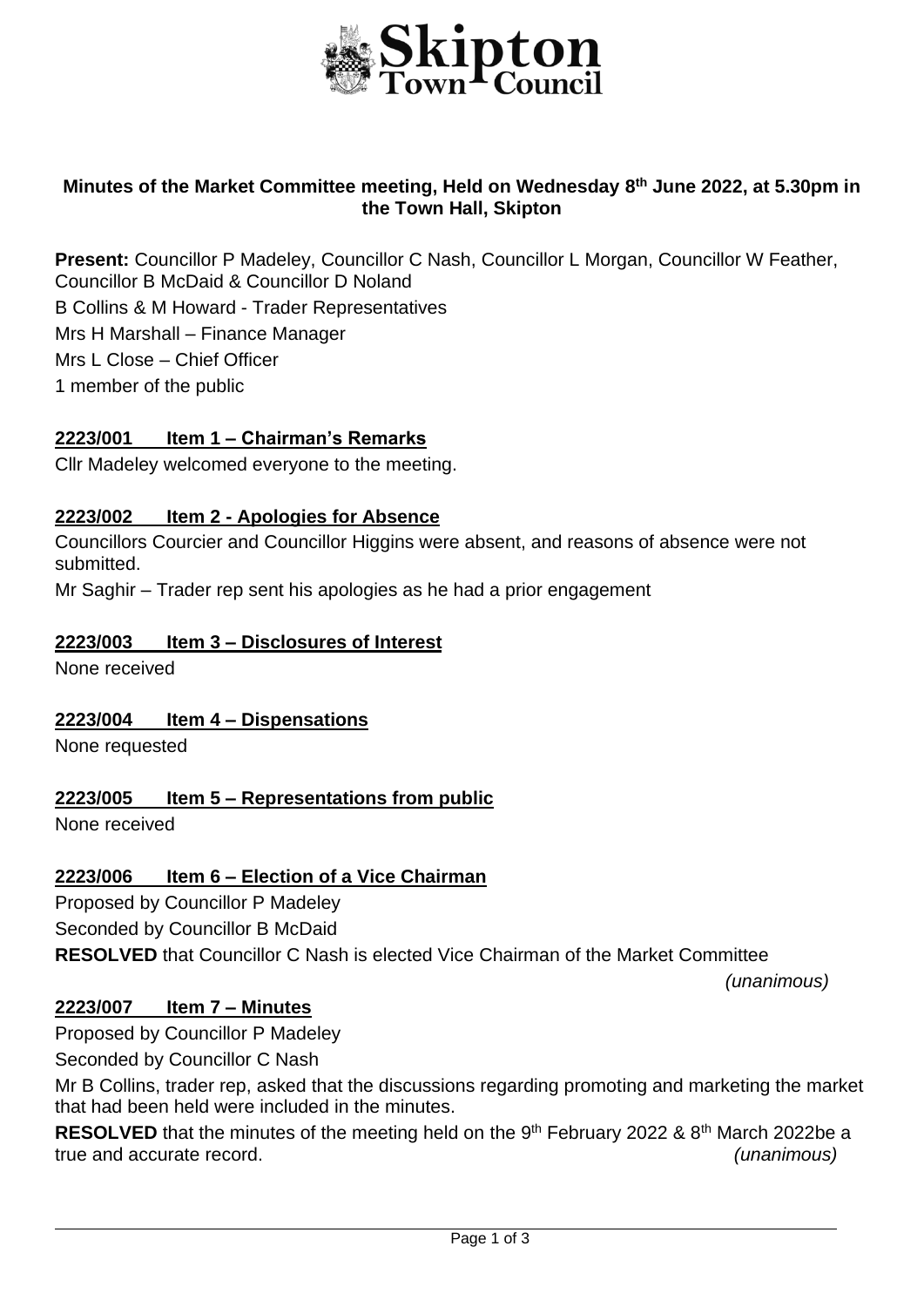

### **Minutes of the Market Committee meeting, Held on Wednesday 8 th June 2022, at 5.30pm in the Town Hall, Skipton**

**Present:** Councillor P Madeley, Councillor C Nash, Councillor L Morgan, Councillor W Feather, Councillor B McDaid & Councillor D Noland B Collins & M Howard - Trader Representatives Mrs H Marshall – Finance Manager Mrs L Close – Chief Officer 1 member of the public

#### **2223/001 Item 1 – Chairman's Remarks**

Cllr Madeley welcomed everyone to the meeting.

#### **2223/002 Item 2 - Apologies for Absence**

Councillors Courcier and Councillor Higgins were absent, and reasons of absence were not submitted.

Mr Saghir – Trader rep sent his apologies as he had a prior engagement

#### **2223/003 Item 3 – Disclosures of Interest**

None received

#### **2223/004 Item 4 – Dispensations**

None requested

#### **2223/005 Item 5 – Representations from public**

None received

#### **2223/006 Item 6 – Election of a Vice Chairman**

Proposed by Councillor P Madeley

Seconded by Councillor B McDaid

**RESOLVED** that Councillor C Nash is elected Vice Chairman of the Market Committee

*(unanimous)*

j.

#### **2223/007 Item 7 – Minutes**

Proposed by Councillor P Madeley

Seconded by Councillor C Nash

Mr B Collins, trader rep, asked that the discussions regarding promoting and marketing the market that had been held were included in the minutes.

**RESOLVED** that the minutes of the meeting held on the 9<sup>th</sup> February 2022 & 8<sup>th</sup> March 2022be a true and accurate record. *(unanimous)*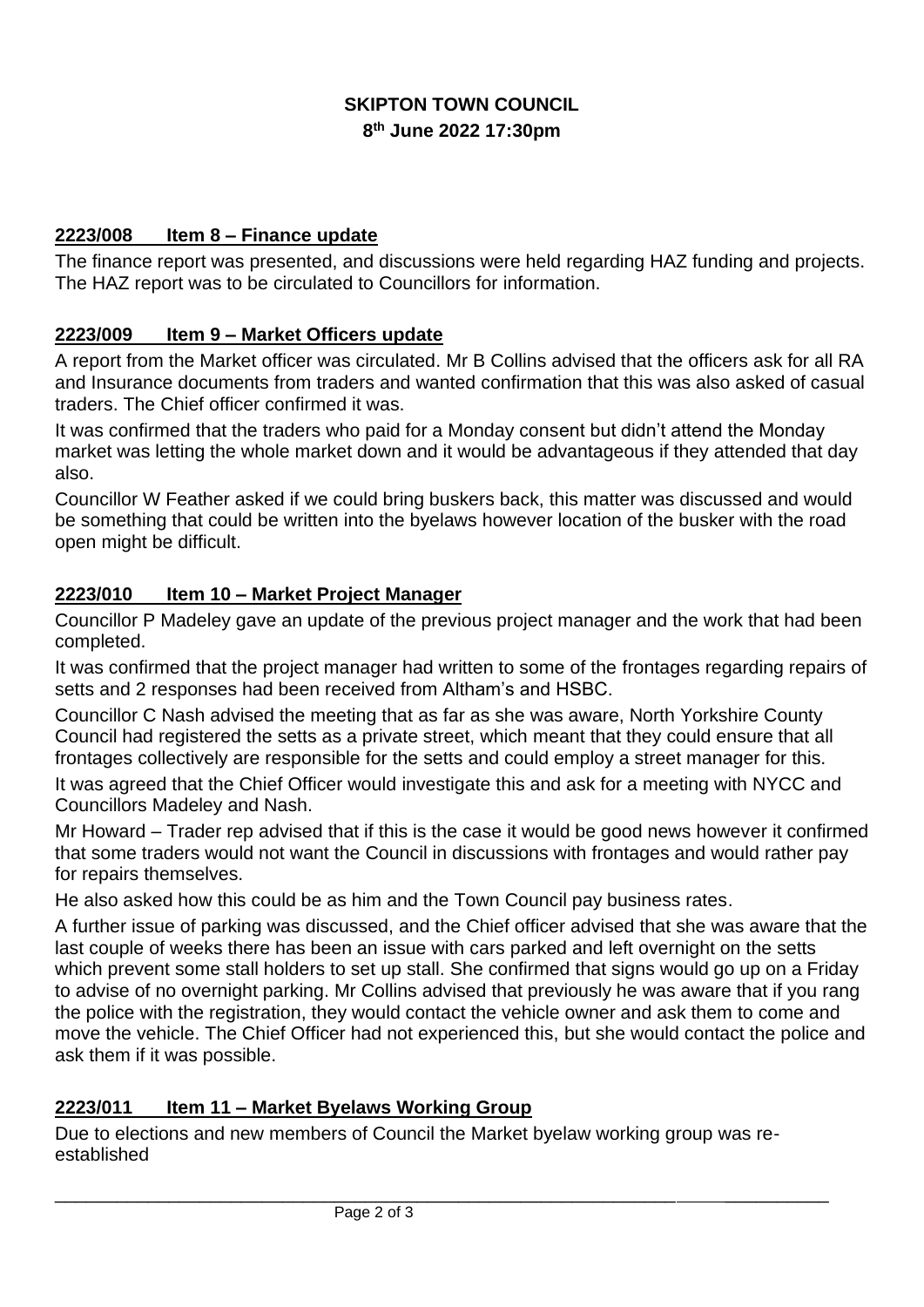# **SKIPTON TOWN COUNCIL 8 th June 2022 17:30pm**

### **2223/008 Item 8 – Finance update**

The finance report was presented, and discussions were held regarding HAZ funding and projects. The HAZ report was to be circulated to Councillors for information.

## **2223/009 Item 9 – Market Officers update**

A report from the Market officer was circulated. Mr B Collins advised that the officers ask for all RA and Insurance documents from traders and wanted confirmation that this was also asked of casual traders. The Chief officer confirmed it was.

It was confirmed that the traders who paid for a Monday consent but didn't attend the Monday market was letting the whole market down and it would be advantageous if they attended that day also.

Councillor W Feather asked if we could bring buskers back, this matter was discussed and would be something that could be written into the byelaws however location of the busker with the road open might be difficult.

## **2223/010 Item 10 – Market Project Manager**

Councillor P Madeley gave an update of the previous project manager and the work that had been completed.

It was confirmed that the project manager had written to some of the frontages regarding repairs of setts and 2 responses had been received from Altham's and HSBC.

Councillor C Nash advised the meeting that as far as she was aware, North Yorkshire County Council had registered the setts as a private street, which meant that they could ensure that all frontages collectively are responsible for the setts and could employ a street manager for this.

It was agreed that the Chief Officer would investigate this and ask for a meeting with NYCC and Councillors Madeley and Nash.

Mr Howard – Trader rep advised that if this is the case it would be good news however it confirmed that some traders would not want the Council in discussions with frontages and would rather pay for repairs themselves.

He also asked how this could be as him and the Town Council pay business rates.

A further issue of parking was discussed, and the Chief officer advised that she was aware that the last couple of weeks there has been an issue with cars parked and left overnight on the setts which prevent some stall holders to set up stall. She confirmed that signs would go up on a Friday to advise of no overnight parking. Mr Collins advised that previously he was aware that if you rang the police with the registration, they would contact the vehicle owner and ask them to come and move the vehicle. The Chief Officer had not experienced this, but she would contact the police and ask them if it was possible.

## **2223/011 Item 11 – Market Byelaws Working Group**

Due to elections and new members of Council the Market byelaw working group was reestablished